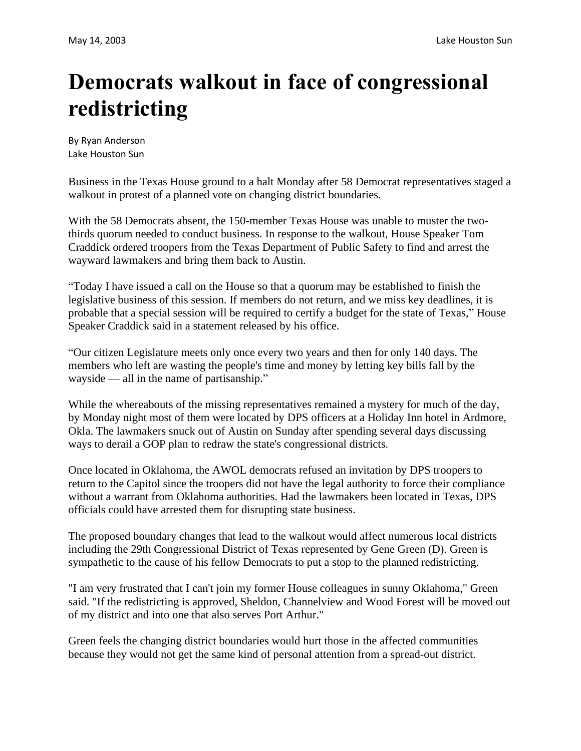## **Democrats walkout in face of congressional redistricting**

By Ryan Anderson Lake Houston Sun

Business in the Texas House ground to a halt Monday after 58 Democrat representatives staged a walkout in protest of a planned vote on changing district boundaries.

With the 58 Democrats absent, the 150-member Texas House was unable to muster the twothirds quorum needed to conduct business. In response to the walkout, House Speaker Tom Craddick ordered troopers from the Texas Department of Public Safety to find and arrest the wayward lawmakers and bring them back to Austin.

"Today I have issued a call on the House so that a quorum may be established to finish the legislative business of this session. If members do not return, and we miss key deadlines, it is probable that a special session will be required to certify a budget for the state of Texas," House Speaker Craddick said in a statement released by his office.

"Our citizen Legislature meets only once every two years and then for only 140 days. The members who left are wasting the people's time and money by letting key bills fall by the wayside — all in the name of partisanship."

While the whereabouts of the missing representatives remained a mystery for much of the day, by Monday night most of them were located by DPS officers at a Holiday Inn hotel in Ardmore, Okla. The lawmakers snuck out of Austin on Sunday after spending several days discussing ways to derail a GOP plan to redraw the state's congressional districts.

Once located in Oklahoma, the AWOL democrats refused an invitation by DPS troopers to return to the Capitol since the troopers did not have the legal authority to force their compliance without a warrant from Oklahoma authorities. Had the lawmakers been located in Texas, DPS officials could have arrested them for disrupting state business.

The proposed boundary changes that lead to the walkout would affect numerous local districts including the 29th Congressional District of Texas represented by Gene Green (D). Green is sympathetic to the cause of his fellow Democrats to put a stop to the planned redistricting.

"I am very frustrated that I can't join my former House colleagues in sunny Oklahoma," Green said. "If the redistricting is approved, Sheldon, Channelview and Wood Forest will be moved out of my district and into one that also serves Port Arthur."

Green feels the changing district boundaries would hurt those in the affected communities because they would not get the same kind of personal attention from a spread-out district.